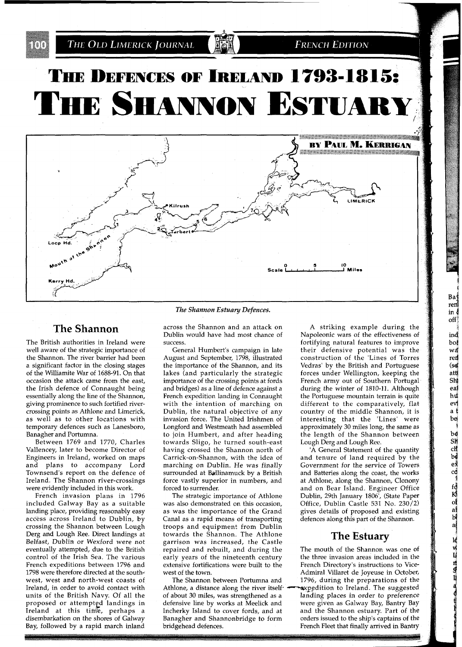BI.

**FRENCH EDITION** 

# THE DEFENCES OF IRELAND 1793-1815: THE SHANNON ESTUARY



### **The Shannon**

The British authorities in Ireland were well aware of the strategic importance of the Shannon. The river barrier had been a significant factor in the closing stages of the Williamite War of 1688-91. On that occasion the attack came from the east, the Irish defence of Connaught being essentially along the line of the Shannon, giving prominence to such fortified rivercrossing points as Athlone and Limerick, as well as to other locations with temporary defences such as Lanesboro, Banagher and Portumna.

Between 1769 and 1770, Charles Vallencey, later to become Director of Engineers in Ireland, worked on maps and plans to accompany Lord Townsend's report on the defence of Ireland. The Shannon river-crossings were evidently included in this work.

French invasion plans in 1796 included Galway Bay as a suitable landing place, providing reasonably easy access across Ireland to Dublin, by crossing the Shannon between Lough Derg and Lough Ree. Direct landings at Belfast, Dublin or Wexford were not eventually attempted, due to the British control of the Irish Sea. The various French expeditions between 1796 and 1798 were therefore directed at the southwest, west and north-west coasts of Ireland, in order to avoid contact with units of the British Navy. Of all the proposed or attemptgd landings in Ireland at this time, perhaps a disembarkation on the shores of Galway Bay, followed by a rapid march inland

*The Shannon Estuary Defences.* 

across the Shannon and an attack on Dublin would have had most chance of success.

General Humbert's campaign in late August and September, 1798, illustrated the importance of the Shannon, and its lakes (and particularly the strategic importance of the crossing points at fords and bridges) as a line of defence against a French expedition landing in Connaught with the intention of marching on Dublin, the natural objective of any invasion force. The United Irishmen of Longford and Westmeath had assembled to join Humbert, and after heading towards Sligo, he turned south-east having crossed the Shannon north of Carrick-on-Shannon, with the idea of marching on Dublin. He was finally surrounded at Ballinamuck by a British force vastly superior in numbers, and forced to surrender.

The strategic importance of Athlone was also demonstrated on this occasion, as was the importance of the Grand CanaI as a rapid means of transporting troops and equipment from Dublin towards the Shannon. The Athlone garrison was increased, the Castle repaired and rebuilt, and during the early years of the nineteenth century extensive fortifications were built to the west of the town.

The Shannon between Portumna and Athlone, a distance along the river itself-

A striking example during the Napoleonic wars of the effectiveness of fortifying natural features to improve their defensive potential was the construction of the 'Lines of Torres Vedras' by the British and Portuguese forces under Wellington, keeping the French army out of Southern Portugal during the winter of 1810-11. Although the Portuguese mountain terrain is quite different to the comparatively, flat country of the middle Shannon, it is interesting that the 'Lines' were approximately 30 miles long, the same as the length of the Shannon between Lough Derg and Lough Ree.

Baj ren in {  $\text{off}$ ind boį wđ ren  $(s)$ att Shi eaj hu ev a t bej be SK ch

bd<br>ex<br>cd

fok of a b a b a lew p n a o

'A General Statement of the quantity and tenure of land required by the Government for the service of Towers and Batteries along the coast, the works at Athlone, along the Shannon, Clonony and on Bear Island. Engineer Office Dublin, 29th January 1806', (State Paper Office, Dublin Castle 531 No. 230/2) gives details of proposed and existing defences along this part of the Shannon.

#### **The Estuary**

The mouth of the Shannon was one of the three invasion areas included in the French Directory's instructions to Vice-Admiral Villaret de Joyeuse in October, 1796, during the preparations of the<br>expedition to Ireland. The suggested of about 30 miles, was strengthened as a landing places in order to preference defensive line by works at Meelick and were given as Galway Bay, Bantry Bay defensive line by works at Meelick and were given as Galway Bay, Bantry Bay<br>Incherky Island to cover fords, and at and the Shannon estuary. Part of the Incherky Island to cover fords, and at and the Shannon estuary. Part of the Banagher and Shannonbridge to form orders issued to the ship's captains of the orders issued to the ship's captains of the bridgehead defences. The French Fleet that finally arrived in Bantry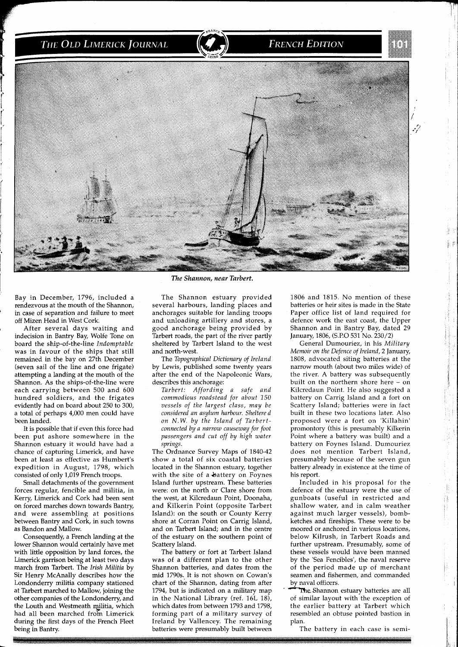#### **FRENCH EDITION**



Bay in December, 1796, included a rendezvous at the mouth of the Shannon, in case of separation and failure to meet off Mizen Head in West Cork.

After several days waiting and indecision in Bantry Bay, Wolfe Tone on board the ship-of-the-line *Indomptable*  was in favour of the ships that still remained in the bay on 27th December (seven sail of the line and one frigate) attempting a landing at the mouth of the Shannon. As the ships-of-the-line were each carrying between 500 and 600 hundred soldiers, and the frigates evidently had on board about 250 to 300, a total of perhaps 4,000 men could have been landed.

It is possible that if even this force had been put ashore somewhere in the Shannon estuary it would have had a chance of capturing Limerick, and have been at least as effective as Humbert's expedition in August, 1798, which consisted of only 1,019 French troops.

Small detachments of the government forces regular, fencible and militia, in Kerry, Limerick and Cork had been sent on forced marches down towards Bantry, and were assembling at positions between Bantry and Cork, in such towns as Bandon and Mallow.

Consequently, a French landing at the lower Shannon would certainly have met with little opposition by land forces, the Limerick garrison being at least two days march from Tarbert. The *Irish Militia* by Sir Henry McAnally describes how the Londonderry militia company stationed at Tarbert marched to Mallow, joining the other companies of the Londonderry, and the Louth and Westmeath militia, which had all been marched from Limerick during the first days of the French Fleet being in Bantry.

#### **The Shannon, near Tarbert.**

The Shannon estuary provided several harbours, landing places and anchorages suitable for landing troops and unloading artillery and stores, a good anchorage being provided by Tarbert roads, the part of the river partly sheltered by Tarbert Island to the west and north-west.

The *Topographical Dictionary of Ireland*  by Lewis, published some twenty years after the end of the Napoleonic Wars, describes this anchorage:

*Tarbert: Affording a safe and commodious roadstead for about* 150 *vessels of the largest class, may be considered an asylum harbour. Sheltered on N.W. by the Island of Tarbertconnected by a narrow causeway for foot passengers and cut off by high water springs.* 

The Ordnance Survey Maps of 1840-42 show a total of six coastal batteries located in the Shannon estuary, together with the site of a battery on Foynes Island further upstream. These batteries were: on the north or Clare shore from the west, at Kilcredaun Point, Doonaha, and Kilkerin Point (opposite Tarbert Island): on the south or County Kerry shore at Corran Point on Carrig Island, and on Tarbert Island; and in the centre of the estuary on the southern point of Scattery Island.

The battery or fort at Tarbert Island was of a different plan to the other Shannon batteries, and dates from the mid 1790s. It is not shown on Cowan's chart of the Shannon, dating from after 1794, but is indicated on a military map in the National Library (ref.  $16L$   $18$ ), which dates from between 1793 and 1798, forming part of a military survey of Ireland by Vallencey. The remaining batteries were presumably built between

1806 and 1815. No mention of these batteries or heir sites is made in the State Paper office list of land required for defence work the east coast, the Upper Shannon and in Bantry Bay, dated 29 January, 1806, (S.P.0 531 No. 230/2)

General Dumouriez, in his *Military Memoir on the Defence of Ireland,* 2 January, 1808, advocated siting batteries at the narrow mouth (about two miles wide) of the river. A battery was subsequently built on the northern shore here - on Kilcredaun Point. He also suggested a battery on Carrig Island and a fort on Scattery Island; batteries were in fact built in these two locations later. Also proposed were a fort on 'Killahin' promontory (this is presumably Kilkerin Point where a battery was built) and a battery on Foynes Island. Dumouriez does not mention Tarbert Island, presumably because of the seven gun battery already in existence at the time of his report.

Included in his proposal for the defence of the estuary were the use of gunboats (useful in restricted and shallow water, and in calm weather against much larger vessels), bombketches and fireships. These were to be moored or anchored in various locations, below Kilrush, in Tarbert Roads and further upstream. Presumably, some of these vessels would have been manned by the 'Sea Fencibles', the naval reserve of the period made up of merchant seamen and fishermen, and commanded by naval officers.

Ĥ.

The Shannon estuary batteries are all of similar layout with the exception of the earlier battery at Tarbert which resembled an obtuse pointed bastion in plan.

The battery in each case is semi-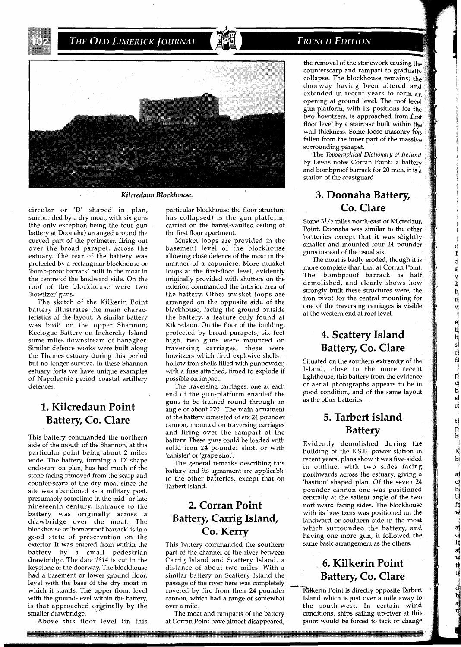### **FRENCH EDITION**



surrounded by a dry moat, with six guns (the only exception being the four gun battery at Doonaha) arranged around the curved part of the perimeter, firing out over the broad parapet, across the estuary. The rear of the battery was protected by a rectangular blockhouse or 'bomb-proof barrack' built in the moat in the centre of the landward side. On the roof of the blockhouse were two 'howitzer' guns.

The sketch of the Kilkerin Point battery illustrates the main characteristics of the lavout. A similar batterv Keelogue Battery on fnchercky Island some miles downstream of Banagher. Similar defence works were built along the Thames estuary during this period but no longer survive. In these Shannon estuary forts we have unique examples of Napoleonic period coastal artillery defences.

## **1. Kilcredaun Point Battery, Co. Clare**

This battery commanded the northern side of the mouth of the Shannon, at this particular point being about **2** miles wide. The battery, forming a 'D' shape enclosure on plan, has had much of the stone facing removed from the scarp and counter-scarp of the dry moat since the site was abandoned as a military post, presumably sometime in the mid- or late nineteenth century. Entrance to the battery was originally across a drawbridge over the moat. The blockhouse or 'bombproof barrack' is in a good state of preservation on the exterior. It was entered from within the battery by a small pedestrian drawbridge. The date 1814 is cut in the keystone of the doorway. The blockhouse had a basement or lower ground floor, level with the base of the dry moat in which it stands. The upper floor, level with the ground-level within the battery, is that approached originally by the smaller drawbridge.

Above this floor level (in this

circular or 'D' shaped in plan, particular blockhouse the floor structure **CO. Clare**  has collapsed) is the gun-platform, carried on the barrel-vaulted ceiling of the first floor apartment.

Musket loops are provided in the basement level of the blockhouse allowing close defence of the moat in the manner of a caponiere. More musket loops at the first-floor level, evidently originally provided with shutters on the exterior, commanded the interior area of the battery. Other musket loops are arranged on the opposite side of the blackhouse, facing the ground outside the battery, a feature only found at<br>Kilcredaun. On the floor of the building, was built on the upper Shannon; a Kilcredaun. On the floor of the building,<br>
Keelogue Battery on Inchercky Island protected by broad parapets, six feet<br>
some miles downstream of Banagher. high, two guns were mounted on<br>
Si protected by broad parapets, six feet high, two guns were mounted on traversing carriages; these were howitzers which fired explosive shells hollow iron shells filled with gunpowder, with a fuse attached, timed to explode if possible on impact.

The traversing carriages, one at each end of the gun-platform enabled the guns to be trained round through an angle of about 270". The main armament of the battery consisted of six **24** pounder cannon, mounted on traversing carriages and firing over the rampart of the battery. These guns could be loaded with solid iron **24** pounder shot, or with 'canister' or 'grape shot'.

The general remarks describing this battery and its armament are applicable to the other batteries, except that on Tarbert Island.

# **2. Corran Point Battery, Carrig Island, Co. Kerry**

This battery commanded the southern part of the channel of the river between Carrig Island and Scattery Island, a distance of about two miles. With a similar battery on Scattery Island the passage of the river here was completely covered by fire from their **24** pounder cannon, which had a range of somewhat over a mile.

The moat and ramparts of the battery at Corran Point have almost disappeared,

the removal of the stonework causing th counterscarp and rampart to gradua collapse. The blockhouse remains; the doorway having been altered and extended in recent years to form an opening at ground level. The roof level gun-platform, with its positions for the two howitzers, is approached from first floor level by a staircase built within the wall thickness. Some loose masonry Was fallen from the inner part of the massive surrounding parapet.

The *Topographical Dictionary of Ireland*  by Lewis notes Corran Point: 'a battery and bombproof barrack for **20** men, it is a station of the coastguard.'

# *Kilcredaun Blockhouse.* **3. Doonaha Battery,**

Some **3l/2** miles north-east of Kilcredaun Point, Doonaha was similar to the other batteries except that it was slightly smaller and mounted four **24** pounder guns instead of the usual six.

The moat is badly eroded, though it is more complete than that at Corran Point. The 'bombproof barrack' is half demolished, and clearly shows how strongly built these structures were; the iron pivot for the central mounting for one of the traversing carriages is visible at the western end at roof level.

**OTOS V2 代ババ** 

 $\ddot{\phantom{a}}$ 

ri<br>fe

 $\frac{p}{s}$ 

 $\mathbf{r}$ 

tÍ  $\frac{p}{h}$ 

K  $\overrightarrow{b}$ 

aj  $\frac{e}{b}$  $\frac{b}{f}$ w

at of default

# **4. Scattery Island Battery, Co. Clare**

Situated on the southern extremity of the Island, close to the more recent lighthouse, this battery from the evidence of aerial photographs appears to be in good condition, and of the same layout as the other batteries.

## **5. Tarbert island Battery**

Evidently demolished during the building of the E.S.B. power station in recent years, plans show it was five-sided in outline, with two sides facing northwards across the estuary, giving a 'bastion' shaped plan. Of the seven 24 pounder cannon one was positioned centrally at the salient angle of the two northward facing sides. The blockhouse with its howitzers was positioned on the landward or southern side in the moat which surrounded the battery, and having one more gun, it followed the same basic arrangement as the others.

# **6. Kilkerin Point Battery, Co. Clare**

Kilkerin Point is directly opposite Tarbert Island which is just over a mile away to the south-west. In certain wind conditions, ships sailing up-river at this point would be forced to tack or change